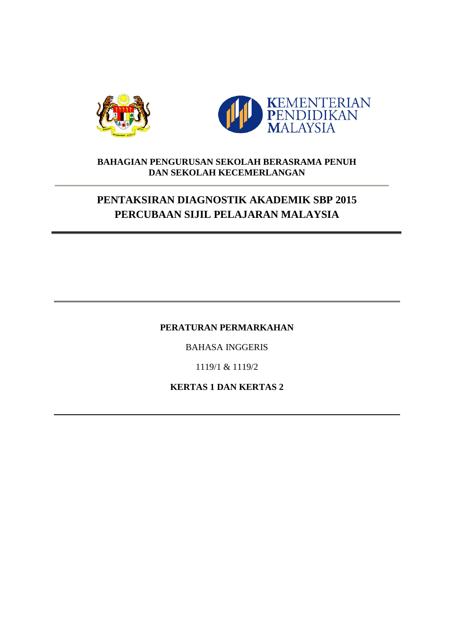



### **BAHAGIAN PENGURUSAN SEKOLAH BERASRAMA PENUH DAN SEKOLAH KECEMERLANGAN**

# **PENTAKSIRAN DIAGNOSTIK AKADEMIK SBP 2015 PERCUBAAN SIJIL PELAJARAN MALAYSIA**

### **PERATURAN PERMARKAHAN**

BAHASA INGGERIS

1119/1 & 1119/2

**KERTAS 1 DAN KERTAS 2**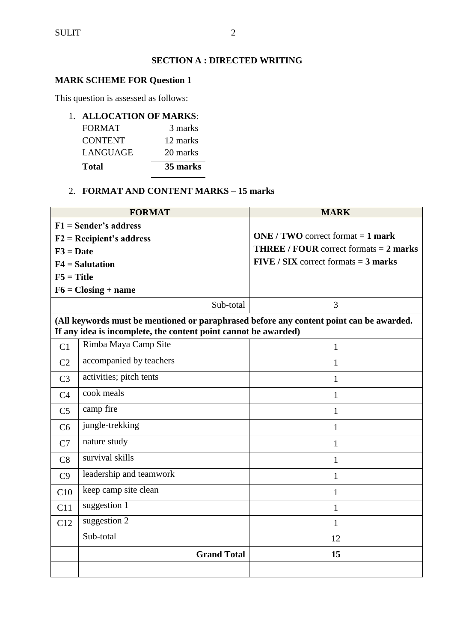### **SECTION A : DIRECTED WRITING**

### **MARK SCHEME FOR Question 1**

This question is assessed as follows:

### 1. **ALLOCATION OF MARKS**:

| <b>Total</b>   | 35 marks |
|----------------|----------|
| LANGUAGE       | 20 marks |
| <b>CONTENT</b> | 12 marks |
| <b>FORMAT</b>  | 3 marks  |

### 2. **FORMAT AND CONTENT MARKS – 15 marks**

 $\overline{a}$ 

|                                                                                                                                                            | <b>FORMAT</b>              | <b>MARK</b>                                                   |  |  |
|------------------------------------------------------------------------------------------------------------------------------------------------------------|----------------------------|---------------------------------------------------------------|--|--|
| $F1 =$ Sender's address                                                                                                                                    |                            |                                                               |  |  |
|                                                                                                                                                            | $F2 = Recipient's address$ | <b>ONE</b> / <b>TWO</b> correct format $= 1$ <b>mark</b>      |  |  |
| $F3 = Date$                                                                                                                                                |                            | <b>THREE</b> / <b>FOUR</b> correct formats $= 2$ <b>marks</b> |  |  |
|                                                                                                                                                            | $F4 =$ Salutation          | $FIVE / SIX$ correct formats = 3 marks                        |  |  |
| $F5 = Title$                                                                                                                                               |                            |                                                               |  |  |
|                                                                                                                                                            | $F6 = Closing + name$      |                                                               |  |  |
|                                                                                                                                                            | Sub-total                  | 3                                                             |  |  |
| (All keywords must be mentioned or paraphrased before any content point can be awarded.<br>If any idea is incomplete, the content point cannot be awarded) |                            |                                                               |  |  |
| C <sub>1</sub>                                                                                                                                             | Rimba Maya Camp Site       | $\mathbf{1}$                                                  |  |  |
| C <sub>2</sub>                                                                                                                                             | accompanied by teachers    | $\mathbf{1}$                                                  |  |  |
| C <sub>3</sub>                                                                                                                                             | activities; pitch tents    | 1                                                             |  |  |
| C <sub>4</sub>                                                                                                                                             | cook meals                 | 1                                                             |  |  |
| C <sub>5</sub>                                                                                                                                             | camp fire                  | $\mathbf{1}$                                                  |  |  |
| C <sub>6</sub>                                                                                                                                             | jungle-trekking            | $\mathbf{1}$                                                  |  |  |
| C7                                                                                                                                                         | nature study               | 1                                                             |  |  |
| C8                                                                                                                                                         | survival skills            | $\mathbf{1}$                                                  |  |  |
| C9                                                                                                                                                         | leadership and teamwork    | $\mathbf{1}$                                                  |  |  |
| C10                                                                                                                                                        | keep camp site clean       | $\mathbf{1}$                                                  |  |  |
| C11                                                                                                                                                        | suggestion 1               | $\mathbf{1}$                                                  |  |  |
| C12                                                                                                                                                        | suggestion 2               | $\mathbf{1}$                                                  |  |  |
|                                                                                                                                                            | Sub-total                  | 12                                                            |  |  |
|                                                                                                                                                            | <b>Grand Total</b>         | 15                                                            |  |  |
|                                                                                                                                                            |                            |                                                               |  |  |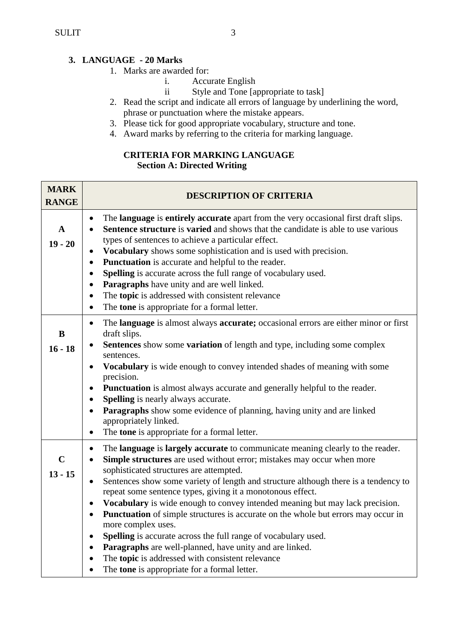## **3. LANGUAGE - 20 Marks**

- 1. Marks are awarded for:
	- i. Accurate English
	- ii Style and Tone [appropriate to task]
- 2. Read the script and indicate all errors of language by underlining the word, phrase or punctuation where the mistake appears.
- 3. Please tick for good appropriate vocabulary, structure and tone.
- 4. Award marks by referring to the criteria for marking language.

## **CRITERIA FOR MARKING LANGUAGE**

### **Section A: Directed Writing**

| <b>MARK</b><br><b>RANGE</b> | <b>DESCRIPTION OF CRITERIA</b>                                                                                                                                                                                                                                                                                                                                                                                                                                                                                                                                                                                                                                                                                                                                                                                                                                                   |
|-----------------------------|----------------------------------------------------------------------------------------------------------------------------------------------------------------------------------------------------------------------------------------------------------------------------------------------------------------------------------------------------------------------------------------------------------------------------------------------------------------------------------------------------------------------------------------------------------------------------------------------------------------------------------------------------------------------------------------------------------------------------------------------------------------------------------------------------------------------------------------------------------------------------------|
| A<br>$19 - 20$              | The language is entirely accurate apart from the very occasional first draft slips.<br>$\bullet$<br>Sentence structure is varied and shows that the candidate is able to use various<br>$\bullet$<br>types of sentences to achieve a particular effect.<br>Vocabulary shows some sophistication and is used with precision.<br>Punctuation is accurate and helpful to the reader.<br>$\bullet$<br>Spelling is accurate across the full range of vocabulary used.<br>Paragraphs have unity and are well linked.<br>$\bullet$<br>The topic is addressed with consistent relevance<br>$\bullet$<br>The tone is appropriate for a formal letter.<br>$\bullet$                                                                                                                                                                                                                        |
| B<br>$16 - 18$              | The language is almost always accurate; occasional errors are either minor or first<br>$\bullet$<br>draft slips.<br><b>Sentences</b> show some <b>variation</b> of length and type, including some complex<br>sentences.<br>Vocabulary is wide enough to convey intended shades of meaning with some<br>precision.<br><b>Punctuation</b> is almost always accurate and generally helpful to the reader.<br>Spelling is nearly always accurate.<br>$\bullet$<br>Paragraphs show some evidence of planning, having unity and are linked<br>$\bullet$<br>appropriately linked.<br>The tone is appropriate for a formal letter.<br>$\bullet$                                                                                                                                                                                                                                         |
| $\mathbf C$<br>$13 - 15$    | The language is largely accurate to communicate meaning clearly to the reader.<br>$\bullet$<br>Simple structures are used without error; mistakes may occur when more<br>sophisticated structures are attempted.<br>Sentences show some variety of length and structure although there is a tendency to<br>repeat some sentence types, giving it a monotonous effect.<br>Vocabulary is wide enough to convey intended meaning but may lack precision.<br>$\bullet$<br><b>Punctuation</b> of simple structures is accurate on the whole but errors may occur in<br>$\bullet$<br>more complex uses.<br>Spelling is accurate across the full range of vocabulary used.<br>$\bullet$<br>Paragraphs are well-planned, have unity and are linked.<br>$\bullet$<br>The topic is addressed with consistent relevance<br>$\bullet$<br>The <b>tone</b> is appropriate for a formal letter. |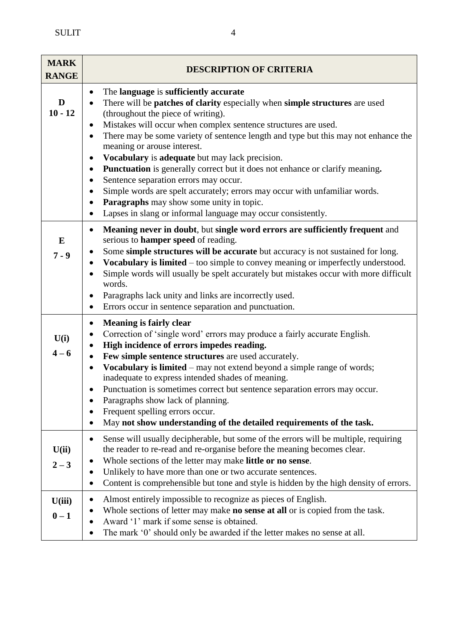| <b>MARK</b><br><b>RANGE</b> | <b>DESCRIPTION OF CRITERIA</b>                                                                                                                                                                                                                                                                                                                                                                                                                                                                                                                                                                                                                                                                                                                                                  |  |  |
|-----------------------------|---------------------------------------------------------------------------------------------------------------------------------------------------------------------------------------------------------------------------------------------------------------------------------------------------------------------------------------------------------------------------------------------------------------------------------------------------------------------------------------------------------------------------------------------------------------------------------------------------------------------------------------------------------------------------------------------------------------------------------------------------------------------------------|--|--|
| D<br>$10 - 12$              | The language is sufficiently accurate<br>$\bullet$<br>There will be patches of clarity especially when simple structures are used<br>(throughout the piece of writing).<br>Mistakes will occur when complex sentence structures are used.<br>٠<br>There may be some variety of sentence length and type but this may not enhance the<br>$\bullet$<br>meaning or arouse interest.<br>Vocabulary is adequate but may lack precision.<br>$\bullet$<br>Punctuation is generally correct but it does not enhance or clarify meaning.<br>$\bullet$<br>Sentence separation errors may occur.<br>Simple words are spelt accurately; errors may occur with unfamiliar words.<br>Paragraphs may show some unity in topic.<br>Lapses in slang or informal language may occur consistently. |  |  |
| E<br>$7 - 9$                | Meaning never in doubt, but single word errors are sufficiently frequent and<br>$\bullet$<br>serious to <b>hamper speed</b> of reading.<br>Some simple structures will be accurate but accuracy is not sustained for long.<br>Vocabulary is limited – too simple to convey meaning or imperfectly understood.<br>Simple words will usually be spelt accurately but mistakes occur with more difficult<br>words.<br>Paragraphs lack unity and links are incorrectly used.<br>Errors occur in sentence separation and punctuation.                                                                                                                                                                                                                                                |  |  |
| U(i)<br>$4 - 6$             | <b>Meaning is fairly clear</b><br>$\bullet$<br>Correction of 'single word' errors may produce a fairly accurate English.<br>High incidence of errors impedes reading.<br>Few simple sentence structures are used accurately.<br>$\bullet$<br>Vocabulary is limited - may not extend beyond a simple range of words;<br>inadequate to express intended shades of meaning.<br>Punctuation is sometimes correct but sentence separation errors may occur.<br>Paragraphs show lack of planning.<br>Frequent spelling errors occur.<br>May not show understanding of the detailed requirements of the task.                                                                                                                                                                          |  |  |
| U(ii)<br>$2 - 3$            | Sense will usually decipherable, but some of the errors will be multiple, requiring<br>$\bullet$<br>the reader to re-read and re-organise before the meaning becomes clear.<br>Whole sections of the letter may make little or no sense.<br>Unlikely to have more than one or two accurate sentences.<br>$\bullet$<br>Content is comprehensible but tone and style is hidden by the high density of errors.                                                                                                                                                                                                                                                                                                                                                                     |  |  |
| U(iii)<br>$0-1$             | Almost entirely impossible to recognize as pieces of English.<br>Whole sections of letter may make <b>no sense at all</b> or is copied from the task.<br>Award '1' mark if some sense is obtained.<br>The mark '0' should only be awarded if the letter makes no sense at all.                                                                                                                                                                                                                                                                                                                                                                                                                                                                                                  |  |  |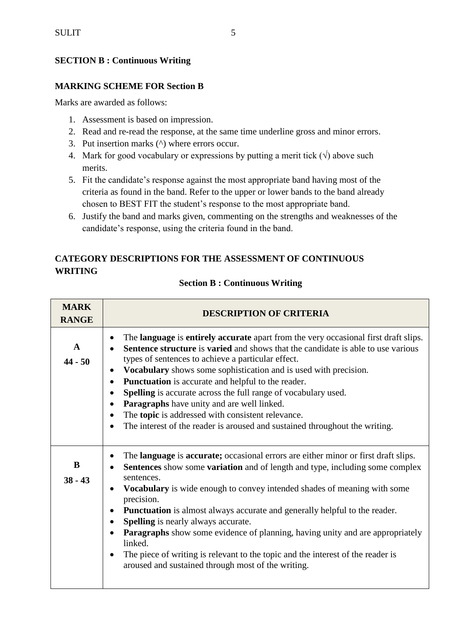### **SECTION B : Continuous Writing**

### **MARKING SCHEME FOR Section B**

Marks are awarded as follows:

- 1. Assessment is based on impression.
- 2. Read and re-read the response, at the same time underline gross and minor errors.
- 3. Put insertion marks (^) where errors occur.
- 4. Mark for good vocabulary or expressions by putting a merit tick  $(\sqrt{a})$  above such merits.
- 5. Fit the candidate's response against the most appropriate band having most of the criteria as found in the band. Refer to the upper or lower bands to the band already chosen to BEST FIT the student's response to the most appropriate band.
- 6. Justify the band and marks given, commenting on the strengths and weaknesses of the candidate's response, using the criteria found in the band.

### **CATEGORY DESCRIPTIONS FOR THE ASSESSMENT OF CONTINUOUS WRITING**

| <b>Section B: Continuous Writing</b> |  |
|--------------------------------------|--|
|--------------------------------------|--|

| <b>MARK</b><br><b>RANGE</b> | <b>DESCRIPTION OF CRITERIA</b>                                                                                                                                                                                                                                                                                                                                                                                                                                                                                                                                                                                                                                                                                          |
|-----------------------------|-------------------------------------------------------------------------------------------------------------------------------------------------------------------------------------------------------------------------------------------------------------------------------------------------------------------------------------------------------------------------------------------------------------------------------------------------------------------------------------------------------------------------------------------------------------------------------------------------------------------------------------------------------------------------------------------------------------------------|
| $\mathbf{A}$<br>$44 - 50$   | The language is entirely accurate apart from the very occasional first draft slips.<br><b>Sentence structure</b> is <b>varied</b> and shows that the candidate is able to use various<br>types of sentences to achieve a particular effect.<br>Vocabulary shows some sophistication and is used with precision.<br>$\bullet$<br><b>Punctuation</b> is accurate and helpful to the reader.<br>$\bullet$<br><b>Spelling</b> is accurate across the full range of vocabulary used.<br>$\bullet$<br><b>Paragraphs</b> have unity and are well linked.<br>$\bullet$<br>The topic is addressed with consistent relevance.<br>The interest of the reader is aroused and sustained throughout the writing.                      |
| B<br>$38 - 43$              | The <b>language</b> is <b>accurate</b> ; occasional errors are either minor or first draft slips.<br><b>Sentences</b> show some <b>variation</b> and of length and type, including some complex<br>sentences.<br><b>Vocabulary</b> is wide enough to convey intended shades of meaning with some<br>precision.<br><b>Punctuation</b> is almost always accurate and generally helpful to the reader.<br>$\bullet$<br><b>Spelling</b> is nearly always accurate.<br><b>Paragraphs</b> show some evidence of planning, having unity and are appropriately<br>linked.<br>The piece of writing is relevant to the topic and the interest of the reader is<br>$\bullet$<br>aroused and sustained through most of the writing. |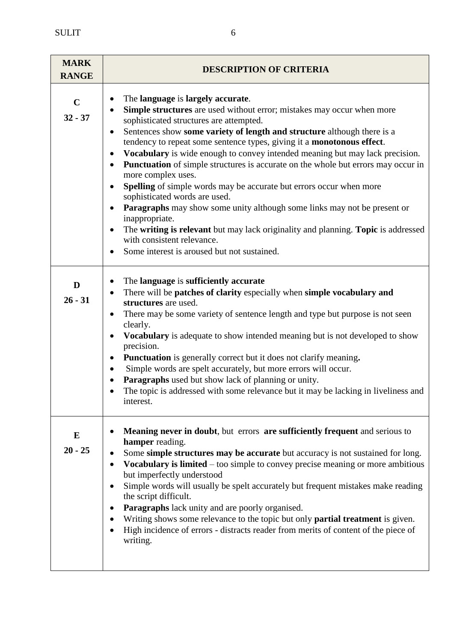| <b>MARK</b><br><b>RANGE</b> | <b>DESCRIPTION OF CRITERIA</b>                                                                                                                                                                                                                                                                                                                                                                                                                                                                                                                                                                                                                                                                                                                                                                                                                                                                                  |
|-----------------------------|-----------------------------------------------------------------------------------------------------------------------------------------------------------------------------------------------------------------------------------------------------------------------------------------------------------------------------------------------------------------------------------------------------------------------------------------------------------------------------------------------------------------------------------------------------------------------------------------------------------------------------------------------------------------------------------------------------------------------------------------------------------------------------------------------------------------------------------------------------------------------------------------------------------------|
| $\mathbf C$<br>$32 - 37$    | The language is largely accurate.<br>Simple structures are used without error; mistakes may occur when more<br>$\bullet$<br>sophisticated structures are attempted.<br>Sentences show some variety of length and structure although there is a<br>tendency to repeat some sentence types, giving it a monotonous effect.<br>Vocabulary is wide enough to convey intended meaning but may lack precision.<br>Punctuation of simple structures is accurate on the whole but errors may occur in<br>$\bullet$<br>more complex uses.<br><b>Spelling</b> of simple words may be accurate but errors occur when more<br>sophisticated words are used.<br>Paragraphs may show some unity although some links may not be present or<br>inappropriate.<br>The writing is relevant but may lack originality and planning. Topic is addressed<br>with consistent relevance.<br>Some interest is aroused but not sustained. |
| D<br>$26 - 31$              | The language is sufficiently accurate<br>There will be patches of clarity especially when simple vocabulary and<br>$\bullet$<br>structures are used.<br>There may be some variety of sentence length and type but purpose is not seen<br>clearly.<br>Vocabulary is adequate to show intended meaning but is not developed to show<br>precision.<br><b>Punctuation</b> is generally correct but it does not clarify meaning.<br>$\bullet$<br>Simple words are spelt accurately, but more errors will occur.<br>Paragraphs used but show lack of planning or unity.<br>The topic is addressed with some relevance but it may be lacking in liveliness and<br>interest.                                                                                                                                                                                                                                            |
| E<br>$20 - 25$              | <b>Meaning never in doubt, but errors are sufficiently frequent and serious to</b><br>hamper reading.<br>Some simple structures may be accurate but accuracy is not sustained for long.<br>$\bullet$                                                                                                                                                                                                                                                                                                                                                                                                                                                                                                                                                                                                                                                                                                            |

**Vocabulary is limited** – too simple to convey precise meaning or more ambitious

• Simple words will usually be spelt accurately but frequent mistakes make reading

 Writing shows some relevance to the topic but only **partial treatment** is given. High incidence of errors - distracts reader from merits of content of the piece of

but imperfectly understood

**Paragraphs** lack unity and are poorly organised.

the script difficult.

writing.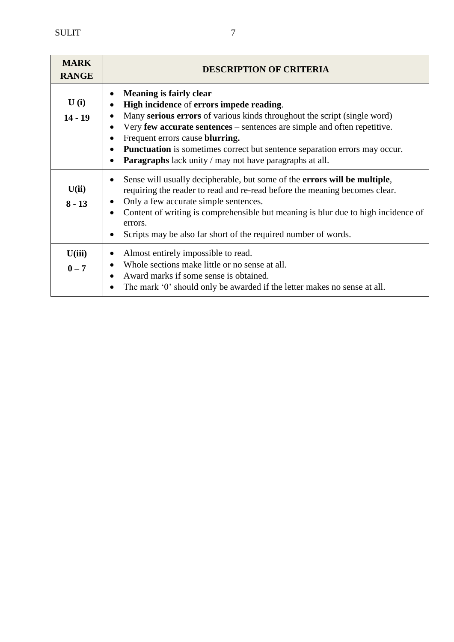| <b>MARK</b><br><b>RANGE</b> | <b>DESCRIPTION OF CRITERIA</b>                                                                                                                                                                                                                                                                                                                                                                                                                                                   |
|-----------------------------|----------------------------------------------------------------------------------------------------------------------------------------------------------------------------------------------------------------------------------------------------------------------------------------------------------------------------------------------------------------------------------------------------------------------------------------------------------------------------------|
| U(i)<br>$14 - 19$           | <b>Meaning is fairly clear</b><br>High incidence of errors impede reading.<br>$\bullet$<br>Many serious errors of various kinds throughout the script (single word)<br>Very few accurate sentences – sentences are simple and often repetitive.<br>$\bullet$<br>Frequent errors cause <b>blurring.</b><br>Punctuation is sometimes correct but sentence separation errors may occur.<br>$\bullet$<br><b>Paragraphs</b> lack unity / may not have paragraphs at all.<br>$\bullet$ |
| U(ii)<br>$8 - 13$           | Sense will usually decipherable, but some of the <b>errors will be multiple</b> ,<br>requiring the reader to read and re-read before the meaning becomes clear.<br>Only a few accurate simple sentences.<br>$\bullet$<br>Content of writing is comprehensible but meaning is blur due to high incidence of<br>errors.<br>Scripts may be also far short of the required number of words.                                                                                          |
| U(iii)<br>$0 - 7$           | Almost entirely impossible to read.<br>٠<br>Whole sections make little or no sense at all.<br>Award marks if some sense is obtained.<br>The mark '0' should only be awarded if the letter makes no sense at all.<br>$\bullet$                                                                                                                                                                                                                                                    |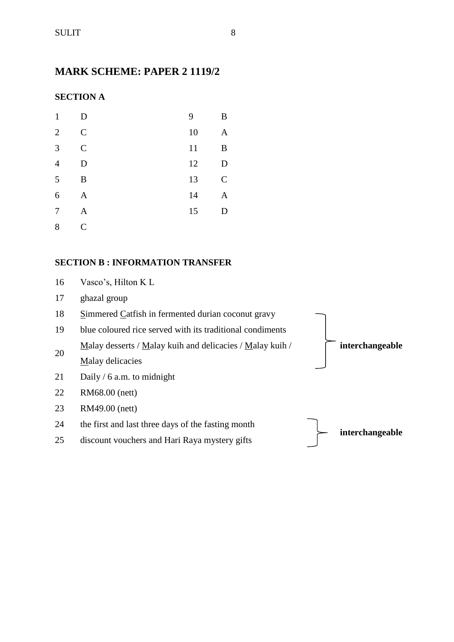# **MARK SCHEME: PAPER 2 1119/2**

## **SECTION A**

| $\mathbf{1}$   | D             | 9  | B             |
|----------------|---------------|----|---------------|
| $\overline{2}$ | $\mathcal{C}$ | 10 | $\mathbf{A}$  |
| 3              | $\mathcal{C}$ | 11 | B             |
| $\overline{4}$ | D             | 12 | D             |
| 5              | B             | 13 | $\mathcal{C}$ |
| 6              | A             | 14 | A             |
| 7              | A             | 15 | D             |
| 8              | $\mathcal{C}$ |    |               |

#### **SECTION B : INFORMATION TRANSFER**

| 16 | Vasco's, Hilton K L                                       |                 |
|----|-----------------------------------------------------------|-----------------|
| 17 | ghazal group                                              |                 |
| 18 | Simmered Catfish in fermented durian coconut gravy        |                 |
| 19 | blue coloured rice served with its traditional condiments |                 |
| 20 | Malay desserts / Malay kuih and delicacies / Malay kuih / | interchangeable |
|    | Malay delicacies                                          |                 |
| 21 | Daily / 6 a.m. to midnight                                |                 |
| 22 | RM68.00 (nett)                                            |                 |
| 23 | RM49.00 (nett)                                            |                 |
| 24 | the first and last three days of the fasting month        |                 |
| 25 | discount vouchers and Hari Raya mystery gifts             | interchangeable |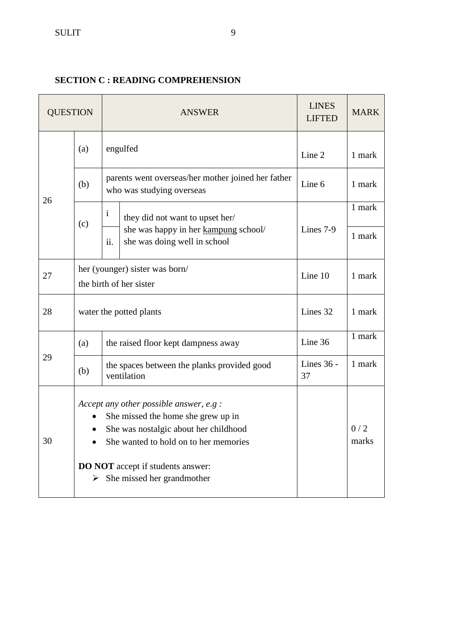## **SECTION C : READING COMPREHENSION**

| <b>QUESTION</b> |                                                                                                                                                                                                                                                                          | <b>ANSWER</b>                                                                   |                                                                      | <b>LINES</b><br><b>LIFTED</b> | <b>MARK</b> |
|-----------------|--------------------------------------------------------------------------------------------------------------------------------------------------------------------------------------------------------------------------------------------------------------------------|---------------------------------------------------------------------------------|----------------------------------------------------------------------|-------------------------------|-------------|
|                 | (a)                                                                                                                                                                                                                                                                      | engulfed                                                                        |                                                                      | Line 2                        | 1 mark      |
| 26              | (b)                                                                                                                                                                                                                                                                      | parents went overseas/her mother joined her father<br>who was studying overseas |                                                                      | Line 6                        | 1 mark      |
|                 |                                                                                                                                                                                                                                                                          | $\mathbf{i}$                                                                    | they did not want to upset her/                                      |                               | 1 mark      |
|                 | (c)                                                                                                                                                                                                                                                                      | ii.                                                                             | she was happy in her kampung school/<br>she was doing well in school | Lines 7-9                     | 1 mark      |
| 27              | her (younger) sister was born/<br>the birth of her sister                                                                                                                                                                                                                |                                                                                 | Line 10                                                              | 1 mark                        |             |
| 28              |                                                                                                                                                                                                                                                                          | water the potted plants                                                         |                                                                      | Lines 32                      | 1 mark      |
|                 | (a)                                                                                                                                                                                                                                                                      | the raised floor kept dampness away                                             |                                                                      | Line 36                       | 1 mark      |
| 29              | (b)                                                                                                                                                                                                                                                                      | the spaces between the planks provided good<br>ventilation                      |                                                                      | Lines 36 -<br>37              | 1 mark      |
| 30              | Accept any other possible answer, e.g :<br>She missed the home she grew up in<br>$\bullet$<br>She was nostalgic about her childhood<br>$\bullet$<br>She wanted to hold on to her memories<br><b>DO NOT</b> accept if students answer:<br>She missed her grandmother<br>➤ |                                                                                 |                                                                      | 0/2<br>marks                  |             |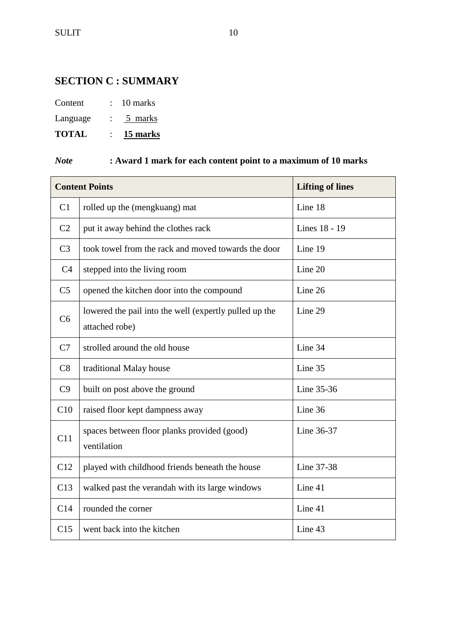# **SECTION C : SUMMARY**

| Content | 10 marks |
|---------|----------|
|         |          |

Language : 5 marks

**TOTAL** : **15 marks**

# *Note* **: Award 1 mark for each content point to a maximum of 10 marks**

|                | <b>Content Points</b>                                                    | <b>Lifting of lines</b> |
|----------------|--------------------------------------------------------------------------|-------------------------|
| C1             | rolled up the (mengkuang) mat                                            | Line 18                 |
| C <sub>2</sub> | put it away behind the clothes rack                                      | Lines 18 - 19           |
| C <sub>3</sub> | took towel from the rack and moved towards the door                      | Line 19                 |
| C <sub>4</sub> | stepped into the living room                                             | Line 20                 |
| C <sub>5</sub> | opened the kitchen door into the compound                                | Line 26                 |
| C <sub>6</sub> | lowered the pail into the well (expertly pulled up the<br>attached robe) | Line 29                 |
| C7             | strolled around the old house                                            | Line 34                 |
| C8             | traditional Malay house                                                  | Line 35                 |
| C9             | built on post above the ground                                           | Line 35-36              |
| C10            | raised floor kept dampness away                                          | Line 36                 |
| C11            | spaces between floor planks provided (good)<br>ventilation               | Line 36-37              |
| C12            | played with childhood friends beneath the house                          | Line 37-38              |
| C13            | walked past the verandah with its large windows                          | Line 41                 |
| C14            | rounded the corner                                                       | Line 41                 |
| C15            | went back into the kitchen                                               | Line 43                 |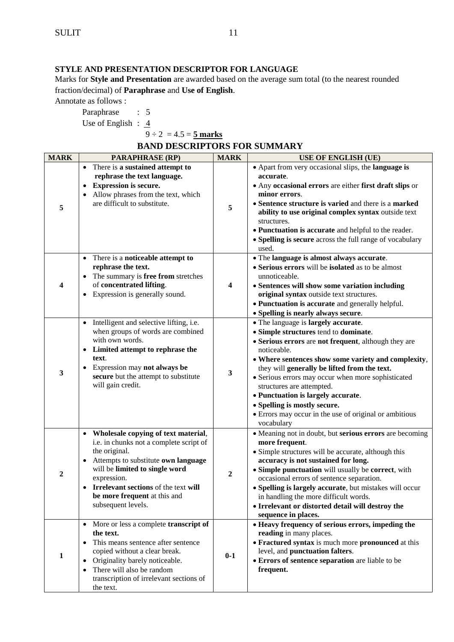#### **STYLE AND PRESENTATION DESCRIPTOR FOR LANGUAGE**

Marks for **Style and Presentation** are awarded based on the average sum total (to the nearest rounded fraction/decimal) of **Paraphrase** and **Use of English**.

Annotate as follows :

Paraphrase : 5

Use of English :  $\frac{4}{3}$ 

 $9 \div 2 = 4.5 = 5$  marks

| <b>MARK</b>             | <b>PARAPHRASE (RP)</b>                                                                                                                                                                                                                                                                  | <b>MARK</b> | <b>USE OF ENGLISH (UE)</b>                                                                                                                                                                                                                                                                                                                                                                                                                                                                  |
|-------------------------|-----------------------------------------------------------------------------------------------------------------------------------------------------------------------------------------------------------------------------------------------------------------------------------------|-------------|---------------------------------------------------------------------------------------------------------------------------------------------------------------------------------------------------------------------------------------------------------------------------------------------------------------------------------------------------------------------------------------------------------------------------------------------------------------------------------------------|
| 5                       | There is a sustained attempt to<br>$\bullet$<br>rephrase the text language.<br><b>Expression is secure.</b><br>Allow phrases from the text, which<br>are difficult to substitute.                                                                                                       | 5           | • Apart from very occasional slips, the <b>language is</b><br>accurate.<br>• Any occasional errors are either first draft slips or<br>minor errors.<br>• Sentence structure is varied and there is a marked<br>ability to use original complex syntax outside text<br>structures.<br>• Punctuation is accurate and helpful to the reader.<br>• Spelling is secure across the full range of vocabulary<br>used.                                                                              |
| $\overline{\mathbf{4}}$ | • There is a noticeable attempt to<br>rephrase the text.<br>The summary is free from stretches<br>of concentrated lifting.<br>Expression is generally sound.                                                                                                                            | 4           | • The language is almost always accurate.<br>• Serious errors will be isolated as to be almost<br>unnoticeable.<br>• Sentences will show some variation including<br>original syntax outside text structures.<br>• Punctuation is accurate and generally helpful.<br>• Spelling is nearly always secure.                                                                                                                                                                                    |
| 3                       | Intelligent and selective lifting, i.e.<br>when groups of words are combined<br>with own words.<br>Limited attempt to rephrase the<br>text.<br>Expression may not always be<br>secure but the attempt to substitute<br>will gain credit.                                                | 3           | • The language is largely accurate.<br>• Simple structures tend to dominate.<br>• Serious errors are not frequent, although they are<br>noticeable.<br>• Where sentences show some variety and complexity,<br>they will generally be lifted from the text.<br>• Serious errors may occur when more sophisticated<br>structures are attempted.<br>• Punctuation is largely accurate.<br>• Spelling is mostly secure.<br>• Errors may occur in the use of original or ambitious<br>vocabulary |
| $\overline{2}$          | • Wholesale copying of text material,<br>i.e. in chunks not a complete script of<br>the original.<br>Attempts to substitute own language<br>will be limited to single word<br>expression.<br>Irrelevant sections of the text will<br>be more frequent at this and<br>subsequent levels. | 2           | • Meaning not in doubt, but serious errors are becoming<br>more frequent.<br>• Simple structures will be accurate, although this<br>accuracy is not sustained for long.<br>• Simple punctuation will usually be correct, with<br>occasional errors of sentence separation.<br>• Spelling is largely accurate, but mistakes will occur<br>in handling the more difficult words.<br>• Irrelevant or distorted detail will destroy the<br>sequence in places.                                  |
| 1                       | More or less a complete transcript of<br>the text.<br>This means sentence after sentence<br>copied without a clear break.<br>Originality barely noticeable.<br>There will also be random<br>transcription of irrelevant sections of<br>the text.                                        | $0-1$       | • Heavy frequency of serious errors, impeding the<br>reading in many places.<br>• Fractured syntax is much more pronounced at this<br>level, and punctuation falters.<br>• Errors of sentence separation are liable to be<br>frequent.                                                                                                                                                                                                                                                      |

### **BAND DESCRIPTORS FOR SUMMARY**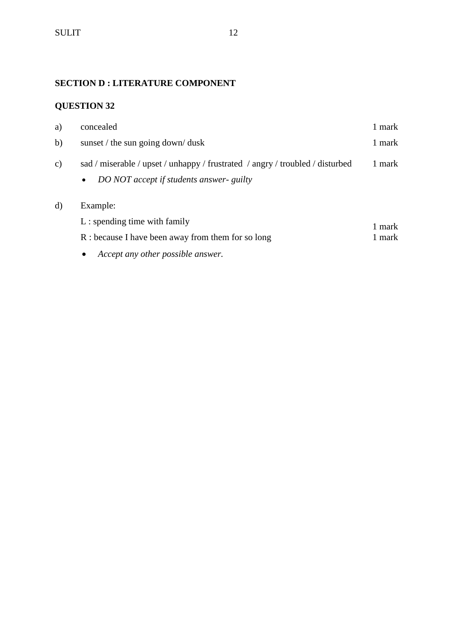## **SECTION D : LITERATURE COMPONENT**

# **QUESTION 32**

| concealed                                                                                                                              | 1 mark                                 |
|----------------------------------------------------------------------------------------------------------------------------------------|----------------------------------------|
| sunset / the sun going down/ dusk                                                                                                      | 1 mark                                 |
| sad / miserable / upset / unhappy / frustrated / angry / troubled / disturbed<br>DO NOT accept if students answer- guilty<br>$\bullet$ | 1 mark                                 |
| Example:<br>$L:$ spending time with family<br>R : because I have been away from them for so long                                       | 1 mark<br>1 mark                       |
|                                                                                                                                        | Accept any other possible answer.<br>٠ |